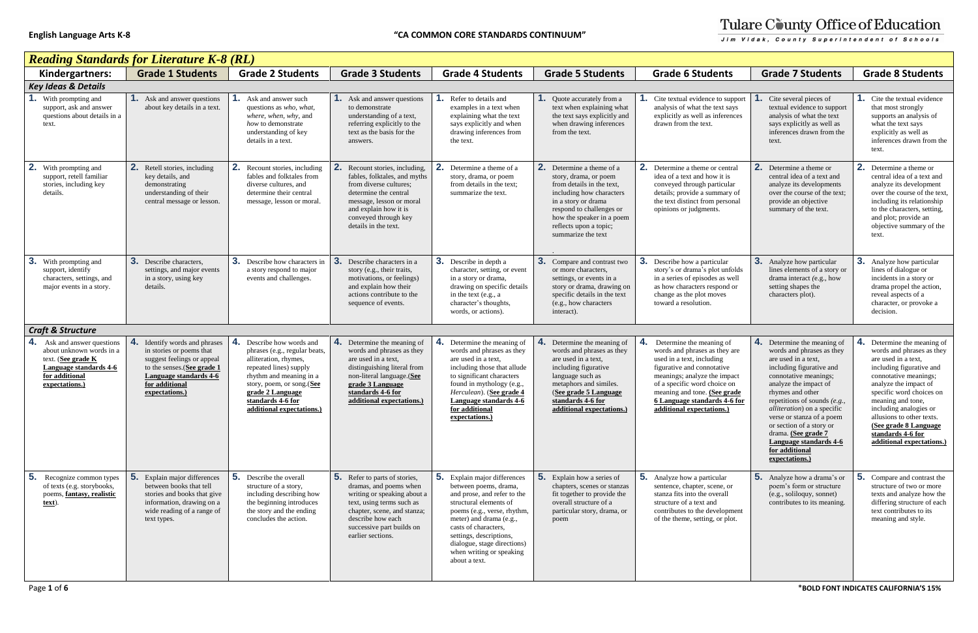|  | i |
|--|---|
|  |   |

| <b>Reading Standards for Literature K-8 (RL)</b>                                                                                               |                                                                                                                                                                                                |                                                                                                                                                                                                                                                |                                                                                                                                                                                                                           |                                                                                                                                                                                                                                                                                                         |                                                                                                                                                                                                                                                |                                                                                                                                                                                                                                                                                   |                                                                                                                                                                                                                                                                                                                                                                                                          |                                                                                                                                                                                                                                                                                                                                               |
|------------------------------------------------------------------------------------------------------------------------------------------------|------------------------------------------------------------------------------------------------------------------------------------------------------------------------------------------------|------------------------------------------------------------------------------------------------------------------------------------------------------------------------------------------------------------------------------------------------|---------------------------------------------------------------------------------------------------------------------------------------------------------------------------------------------------------------------------|---------------------------------------------------------------------------------------------------------------------------------------------------------------------------------------------------------------------------------------------------------------------------------------------------------|------------------------------------------------------------------------------------------------------------------------------------------------------------------------------------------------------------------------------------------------|-----------------------------------------------------------------------------------------------------------------------------------------------------------------------------------------------------------------------------------------------------------------------------------|----------------------------------------------------------------------------------------------------------------------------------------------------------------------------------------------------------------------------------------------------------------------------------------------------------------------------------------------------------------------------------------------------------|-----------------------------------------------------------------------------------------------------------------------------------------------------------------------------------------------------------------------------------------------------------------------------------------------------------------------------------------------|
| Kindergartners:                                                                                                                                | <b>Grade 1 Students</b>                                                                                                                                                                        | <b>Grade 2 Students</b>                                                                                                                                                                                                                        | <b>Grade 3 Students</b>                                                                                                                                                                                                   | <b>Grade 4 Students</b>                                                                                                                                                                                                                                                                                 | <b>Grade 5 Students</b>                                                                                                                                                                                                                        | <b>Grade 6 Students</b>                                                                                                                                                                                                                                                           | <b>Grade 7 Students</b>                                                                                                                                                                                                                                                                                                                                                                                  | <b>Grade 8 Students</b>                                                                                                                                                                                                                                                                                                                       |
| <b>Key Ideas &amp; Details</b>                                                                                                                 |                                                                                                                                                                                                |                                                                                                                                                                                                                                                |                                                                                                                                                                                                                           |                                                                                                                                                                                                                                                                                                         |                                                                                                                                                                                                                                                |                                                                                                                                                                                                                                                                                   |                                                                                                                                                                                                                                                                                                                                                                                                          |                                                                                                                                                                                                                                                                                                                                               |
| With prompting and<br>support, ask and answer<br>questions about details in a<br>text.                                                         | <b>1.</b> Ask and answer questions<br>about key details in a text.                                                                                                                             | <b>1.</b> Ask and answer such<br>questions as who, what,<br>where, when, why, and<br>how to demonstrate<br>understanding of key<br>details in a text.                                                                                          | <b>1.</b> Ask and answer questions<br>to demonstrate<br>understanding of a text,<br>referring explicitly to the<br>text as the basis for the<br>answers.                                                                  | Refer to details and<br>examples in a text when<br>explaining what the text<br>says explicitly and when<br>drawing inferences from<br>the text.                                                                                                                                                         | Quote accurately from a<br>text when explaining what<br>the text says explicitly and<br>when drawing inferences<br>from the text.                                                                                                              | Cite textual evidence to support<br>analysis of what the text says<br>explicitly as well as inferences<br>drawn from the text.                                                                                                                                                    | Cite several pieces of<br>textual evidence to support<br>analysis of what the text<br>says explicitly as well as<br>inferences drawn from the<br>text.                                                                                                                                                                                                                                                   | <b>1.</b> Cite the textual evidence<br>that most strongly<br>supports an analysis of<br>what the text says<br>explicitly as well as<br>inferences drawn from the<br>text.                                                                                                                                                                     |
| 2.<br>With prompting and<br>support, retell familiar<br>stories, including key<br>details.                                                     | 2. Retell stories, including<br>key details, and<br>demonstrating<br>understanding of their<br>central message or lesson.                                                                      | <b>2.</b> Recount stories, including<br>fables and folktales from<br>diverse cultures, and<br>determine their central<br>message, lesson or moral.                                                                                             | Recount stories, including,<br>fables, folktales, and myths<br>from diverse cultures;<br>determine the central<br>message, lesson or moral<br>and explain how it is<br>conveyed through key<br>details in the text.       | 2.<br>Determine a theme of a<br>story, drama, or poem<br>from details in the text;<br>summarize the text.                                                                                                                                                                                               | 2.<br>Determine a theme of a<br>story, drama, or poem<br>from details in the text.<br>including how characters<br>in a story or drama<br>respond to challenges or<br>how the speaker in a poem<br>reflects upon a topic;<br>summarize the text | Determine a theme or central<br>idea of a text and how it is<br>conveyed through particular<br>details; provide a summary of<br>the text distinct from personal<br>opinions or judgments.                                                                                         | 2. Determine a theme or<br>central idea of a text and<br>analyze its developments<br>over the course of the text;<br>provide an objective<br>summary of the text.                                                                                                                                                                                                                                        | <b>2.</b> Determine a theme or<br>central idea of a text and<br>analyze its development<br>over the course of the text.<br>including its relationship<br>to the characters, setting,<br>and plot; provide an<br>objective summary of the<br>text.                                                                                             |
| 3.<br>With prompting and<br>support, identify<br>characters, settings, and<br>major events in a story.                                         | 3.<br>Describe characters,<br>settings, and major events<br>in a story, using key<br>details.                                                                                                  | 3. Describe how characters in<br>a story respond to major<br>events and challenges.                                                                                                                                                            | 3.<br>Describe characters in a<br>story (e.g., their traits,<br>motivations, or feelings)<br>and explain how their<br>actions contribute to the<br>sequence of events.                                                    | <b>3.</b> Describe in depth a<br>character, setting, or event<br>in a story or drama.<br>drawing on specific details<br>in the text (e.g., a<br>character's thoughts,<br>words, or actions).                                                                                                            | 3.<br>Compare and contrast two<br>or more characters.<br>settings, or events in a<br>story or drama, drawing on<br>specific details in the text<br>(e.g., how characters<br>interact).                                                         | Describe how a particular<br>story's or drama's plot unfolds<br>in a series of episodes as well<br>as how characters respond or<br>change as the plot moves<br>toward a resolution.                                                                                               | <b>3.</b> Analyze how particular<br>lines elements of a story or<br>drama interact (e.g., how<br>setting shapes the<br>characters plot).                                                                                                                                                                                                                                                                 | <b>3.</b> Analyze how particular<br>lines of dialogue or<br>incidents in a story or<br>drama propel the action,<br>reveal aspects of a<br>character, or provoke a<br>decision.                                                                                                                                                                |
| <b>Craft &amp; Structure</b>                                                                                                                   |                                                                                                                                                                                                |                                                                                                                                                                                                                                                |                                                                                                                                                                                                                           |                                                                                                                                                                                                                                                                                                         |                                                                                                                                                                                                                                                |                                                                                                                                                                                                                                                                                   |                                                                                                                                                                                                                                                                                                                                                                                                          |                                                                                                                                                                                                                                                                                                                                               |
| 4.<br>Ask and answer questions<br>about unknown words in a<br>text. (See grade K<br>Language standards 4-6<br>for additional<br>expectations.) | 4.<br>Identify words and phrases<br>in stories or poems that<br>suggest feelings or appeal<br>to the senses. (See grade 1<br><b>Language standards 4-6</b><br>for additional<br>expectations.) | 4.<br>Describe how words and<br>phrases (e.g., regular beats,<br>alliteration, rhymes,<br>repeated lines) supply<br>rhythm and meaning in a<br>story, poem, or song.(See<br>grade 2 Language<br>standards 4-6 for<br>additional expectations.) | 4. Determine the meaning of<br>words and phrases as they<br>are used in a text,<br>distinguishing literal from<br>non-literal language.(See<br>grade 3 Language<br>standards 4-6 for<br>additional expectations.)         | 4.<br>Determine the meaning of<br>words and phrases as they<br>are used in a text,<br>including those that allude<br>to significant characters<br>found in mythology (e.g.,<br>Herculean). (See grade 4<br>Language standards 4-6<br>for additional<br>expectations.)                                   | 4.<br>Determine the meaning of<br>words and phrases as they<br>are used in a text,<br>including figurative<br>language such as<br>metaphors and similes.<br>(See grade 5 Language<br>standards 4-6 for<br>additional expectations.)            | Determine the meaning of<br>words and phrases as they are<br>used in a text, including<br>figurative and connotative<br>meanings; analyze the impact<br>of a specific word choice on<br>meaning and tone. (See grade<br>6 Language standards 4-6 for<br>additional expectations.) | 4. Determine the meaning of<br>words and phrases as they<br>are used in a text,<br>including figurative and<br>connotative meanings;<br>analyze the impact of<br>rhymes and other<br>repetitions of sounds $(e.g.,$<br><i>alliteration</i> ) on a specific<br>verse or stanza of a poem<br>or section of a story or<br>drama. (See grade 7<br>Language standards 4-6<br>for additional<br>expectations.) | Determine the meaning of<br>words and phrases as they<br>are used in a text,<br>including figurative and<br>connotative meanings;<br>analyze the impact of<br>specific word choices on<br>meaning and tone,<br>including analogies or<br>allusions to other texts.<br>(See grade 8 Language<br>standards 4-6 for<br>additional expectations.) |
| 5.<br>Recognize common types<br>of texts (e.g. storybooks,<br>poems, fantasy, realistic<br>text).                                              | 5.<br>Explain major differences<br>between books that tell<br>stories and books that give<br>information, drawing on a<br>wide reading of a range of<br>text types.                            | <b>5.</b> Describe the overall<br>structure of a story,<br>including describing how<br>the beginning introduces<br>the story and the ending<br>concludes the action.                                                                           | 5. Refer to parts of stories,<br>dramas, and poems when<br>writing or speaking about a<br>text, using terms such as<br>chapter, scene, and stanza;<br>describe how each<br>successive part builds on<br>earlier sections. | 5. Explain major differences<br>between poems, drama,<br>and prose, and refer to the<br>structural elements of<br>poems (e.g., verse, rhythm,<br>meter) and drama (e.g.,<br>casts of characters,<br>settings, descriptions,<br>dialogue, stage directions)<br>when writing or speaking<br>about a text. | 5.<br>Explain how a series of<br>chapters, scenes or stanzas<br>fit together to provide the<br>overall structure of a<br>particular story, drama, or<br>poem                                                                                   | <b>5.</b> Analyze how a particular<br>sentence, chapter, scene, or<br>stanza fits into the overall<br>structure of a text and<br>contributes to the development<br>of the theme, setting, or plot.                                                                                | <b>5.</b> Analyze how a drama's or<br>poem's form or structure<br>(e.g., soliloquy, sonnet)<br>contributes to its meaning.                                                                                                                                                                                                                                                                               | <b>5.</b> Compare and contrast the<br>structure of two or more<br>texts and analyze how the<br>differing structure of each<br>text contributes to its<br>meaning and style.                                                                                                                                                                   |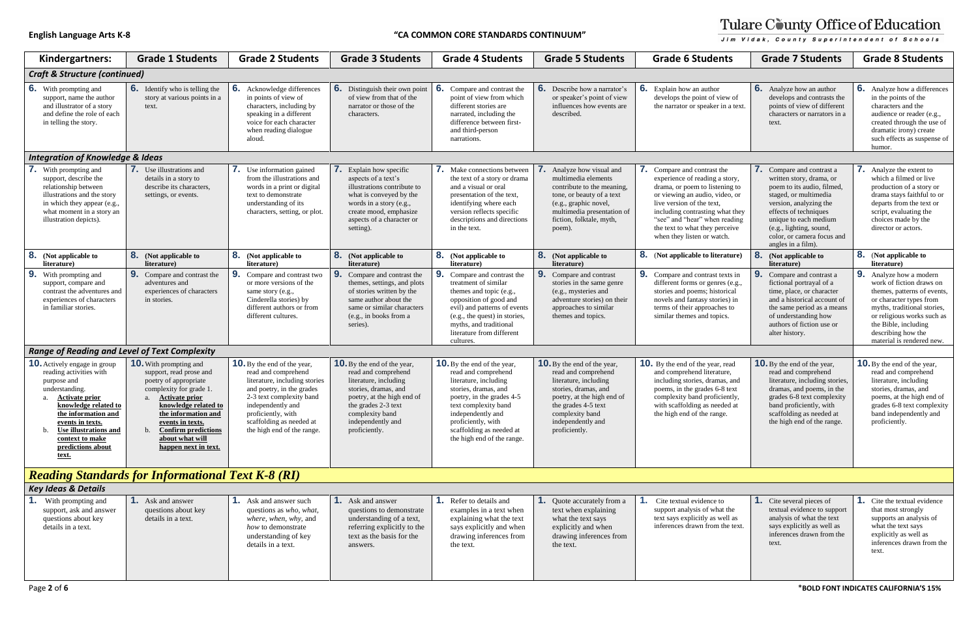| Kindergartners:                                                                                                                                                                                                                                                       | <b>Grade 1 Students</b>                                                                                                                                                                                                                                                       | <b>Grade 2 Students</b>                                                                                                                                                                                                                                  | <b>Grade 3 Students</b>                                                                                                                                                                                                  | <b>Grade 4 Students</b>                                                                                                                                                                                                                                              | <b>Grade 5 Students</b>                                                                                                                                                                                                  | <b>Grade 6 Students</b>                                                                                                                                                                                                                                                                            | <b>Grade 7 Students</b>                                                                                                                                                                                                                                                        | <b>Grade 8 Students</b>                                                                                                                                                                                                                                 |
|-----------------------------------------------------------------------------------------------------------------------------------------------------------------------------------------------------------------------------------------------------------------------|-------------------------------------------------------------------------------------------------------------------------------------------------------------------------------------------------------------------------------------------------------------------------------|----------------------------------------------------------------------------------------------------------------------------------------------------------------------------------------------------------------------------------------------------------|--------------------------------------------------------------------------------------------------------------------------------------------------------------------------------------------------------------------------|----------------------------------------------------------------------------------------------------------------------------------------------------------------------------------------------------------------------------------------------------------------------|--------------------------------------------------------------------------------------------------------------------------------------------------------------------------------------------------------------------------|----------------------------------------------------------------------------------------------------------------------------------------------------------------------------------------------------------------------------------------------------------------------------------------------------|--------------------------------------------------------------------------------------------------------------------------------------------------------------------------------------------------------------------------------------------------------------------------------|---------------------------------------------------------------------------------------------------------------------------------------------------------------------------------------------------------------------------------------------------------|
| <b>Craft &amp; Structure (continued)</b>                                                                                                                                                                                                                              |                                                                                                                                                                                                                                                                               |                                                                                                                                                                                                                                                          |                                                                                                                                                                                                                          |                                                                                                                                                                                                                                                                      |                                                                                                                                                                                                                          |                                                                                                                                                                                                                                                                                                    |                                                                                                                                                                                                                                                                                |                                                                                                                                                                                                                                                         |
| 6.<br>With prompting and<br>support, name the author<br>and illustrator of a story<br>and define the role of each<br>in telling the story.                                                                                                                            | <b>6.</b> Identify who is telling the<br>story at various points in a<br>text.                                                                                                                                                                                                | <b>6.</b> Acknowledge differences<br>in points of view of<br>characters, including by<br>speaking in a different<br>voice for each character<br>when reading dialogue<br>aloud.                                                                          | <b>6.</b> Distinguish their own point<br>of view from that of the<br>narrator or those of the<br>characters.                                                                                                             | 6.<br>Compare and contrast the<br>point of view from which<br>different stories are<br>narrated, including the<br>difference between first-<br>and third-person<br>narrations.                                                                                       | <b>6.</b> Describe how a narrator's<br>or speaker's point of view<br>influences how events are<br>described.                                                                                                             | <b>6.</b> Explain how an author<br>develops the point of view of<br>the narrator or speaker in a text                                                                                                                                                                                              | <b>6.</b> Analyze how an author<br>develops and contrasts the<br>points of view of different<br>characters or narrators in a<br>text.                                                                                                                                          | <b>6.</b> Analyze how a difference<br>in the points of the<br>characters and the<br>audience or reader (e.g.,<br>created through the use o<br>dramatic irony) create<br>such effects as suspense<br>humor.                                              |
| <b>Integration of Knowledge &amp; Ideas</b>                                                                                                                                                                                                                           |                                                                                                                                                                                                                                                                               |                                                                                                                                                                                                                                                          |                                                                                                                                                                                                                          |                                                                                                                                                                                                                                                                      |                                                                                                                                                                                                                          |                                                                                                                                                                                                                                                                                                    |                                                                                                                                                                                                                                                                                |                                                                                                                                                                                                                                                         |
| 7.<br>With prompting and<br>support, describe the<br>relationship between<br>illustrations and the story<br>in which they appear (e.g.,<br>what moment in a story an<br>illustration depicts).                                                                        | <b>7.</b> Use illustrations and<br>details in a story to<br>describe its characters,<br>settings, or events.                                                                                                                                                                  | Use information gained<br>$\mathcal{L}$<br>from the illustrations and<br>words in a print or digital<br>text to demonstrate<br>understanding of its<br>characters, setting, or plot.                                                                     | 7.<br>Explain how specific<br>aspects of a text's<br>illustrations contribute to<br>what is conveyed by the<br>words in a story (e.g.,<br>create mood, emphasize<br>aspects of a character or<br>setting).               | Make connections between<br>the text of a story or drama<br>and a visual or oral<br>presentation of the text,<br>identifying where each<br>version reflects specific<br>descriptions and directions<br>in the text.                                                  | Analyze how visual and<br>multimedia elements<br>contribute to the meaning.<br>tone, or beauty of a text<br>(e.g., graphic novel,<br>multimedia presentation of<br>fiction, folktale, myth,<br>poem).                    | 7. Compare and contrast the<br>experience of reading a story,<br>drama, or poem to listening to<br>or viewing an audio, video, or<br>live version of the text.<br>including contrasting what they<br>"see" and "hear" when reading<br>the text to what they perceive<br>when they listen or watch. | <b>7.</b> Compare and contrast a<br>written story, drama, or<br>poem to its audio, filmed,<br>staged, or multimedia<br>version, analyzing the<br>effects of techniques<br>unique to each medium<br>(e.g., lighting, sound,<br>color, or camera focus and<br>angles in a film). | <b>7.</b> Analyze the extent to<br>which a filmed or live<br>production of a story or<br>drama stays faithful to or<br>departs from the text or<br>script, evaluating the<br>choices made by the<br>director or actors.                                 |
| 8.<br>(Not applicable to<br>literature)                                                                                                                                                                                                                               | <b>8.</b> (Not applicable to<br>literature)                                                                                                                                                                                                                                   | <b>8.</b> (Not applicable to<br>literature)                                                                                                                                                                                                              | <b>8.</b> (Not applicable to<br>literature)                                                                                                                                                                              | <b>8.</b> (Not applicable to<br>literature)                                                                                                                                                                                                                          | <b>8.</b> (Not applicable to<br>literature)                                                                                                                                                                              | <b>8.</b> (Not applicable to literature)                                                                                                                                                                                                                                                           | 8 <sub>1</sub><br>(Not applicable to<br>literature)                                                                                                                                                                                                                            | <b>8.</b> (Not applicable to<br>literature)                                                                                                                                                                                                             |
| 9.<br>With prompting and<br>support, compare and<br>contrast the adventures and<br>experiences of characters<br>in familiar stories.                                                                                                                                  | <b>9.</b> Compare and contrast the<br>adventures and<br>experiences of characters<br>in stories.                                                                                                                                                                              | <b>9.</b> Compare and contrast two<br>or more versions of the<br>same story (e.g.,<br>Cinderella stories) by<br>different authors or from<br>different cultures.                                                                                         | 9.<br>Compare and contrast the<br>themes, settings, and plots<br>of stories written by the<br>same author about the<br>same or similar characters<br>(e.g., in books from a<br>series).                                  | 9.<br>Compare and contrast the<br>treatment of similar<br>themes and topic (e.g.,<br>opposition of good and<br>evil) and patterns of events<br>(e.g., the quest) in stories,<br>myths, and traditional<br>literature from different<br>cultures.                     | <b>9.</b> Compare and contrast<br>stories in the same genre<br>(e.g., mysteries and<br>adventure stories) on their<br>approaches to similar<br>themes and topics.                                                        | <b>9.</b> Compare and contrast texts in<br>different forms or genres (e.g.,<br>stories and poems; historical<br>novels and fantasy stories) in<br>terms of their approaches to<br>similar themes and topics.                                                                                       | 9.<br>Compare and contrast a<br>fictional portrayal of a<br>time, place, or character<br>and a historical account of<br>the same period as a means<br>of understanding how<br>authors of fiction use or<br>alter history.                                                      | <b>9.</b> Analyze how a modern<br>work of fiction draws on<br>themes, patterns of event<br>or character types from<br>myths, traditional stories<br>or religious works such a<br>the Bible, including<br>describing how the<br>material is rendered new |
| <b>Range of Reading and Level of Text Complexity</b>                                                                                                                                                                                                                  |                                                                                                                                                                                                                                                                               |                                                                                                                                                                                                                                                          |                                                                                                                                                                                                                          |                                                                                                                                                                                                                                                                      |                                                                                                                                                                                                                          |                                                                                                                                                                                                                                                                                                    |                                                                                                                                                                                                                                                                                |                                                                                                                                                                                                                                                         |
| <b>10.</b> Actively engage in group<br>reading activities with<br>purpose and<br>understanding.<br><b>Activate prior</b><br>knowledge related to<br>the information and<br>events in texts.<br>Use illustrations and<br>context to make<br>predictions about<br>text. | <b>10.</b> With prompting and<br>support, read prose and<br>poetry of appropriate<br>complexity for grade 1.<br>a. Activate prior<br>knowledge related to<br>the information and<br>events in texts.<br><b>Confirm predictions</b><br>about what will<br>happen next in text. | <b>10.</b> By the end of the year,<br>read and comprehend<br>literature, including stories<br>and poetry, in the grades<br>2-3 text complexity band<br>independently and<br>proficiently, with<br>scaffolding as needed at<br>the high end of the range. | <b>10.</b> By the end of the year,<br>read and comprehend<br>literature, including<br>stories, dramas, and<br>poetry, at the high end of<br>the grades 2-3 text<br>complexity band<br>independently and<br>proficiently. | <b>10.</b> By the end of the year,<br>read and comprehend<br>literature, including<br>stories, dramas, and<br>poetry, in the grades 4-5<br>text complexity band<br>independently and<br>proficiently, with<br>scaffolding as needed at<br>the high end of the range. | <b>10.</b> By the end of the year,<br>read and comprehend<br>literature, including<br>stories, dramas, and<br>poetry, at the high end of<br>the grades 4-5 text<br>complexity band<br>independently and<br>proficiently. | <b>10.</b> By the end of the year, read<br>and comprehend literature,<br>including stories, dramas, and<br>poems, in the grades 6-8 text<br>complexity band proficiently,<br>with scaffolding as needed at<br>the high end of the range.                                                           | <b>10.</b> By the end of the year,<br>read and comprehend<br>literature, including stories,<br>dramas, and poems, in the<br>grades 6-8 text complexity<br>band proficiently, with<br>scaffolding as needed at<br>the high end of the range.                                    | <b>10.</b> By the end of the year,<br>read and comprehend<br>literature, including<br>stories, dramas, and<br>poems, at the high end of<br>grades 6-8 text complexi<br>band independently and<br>proficiently.                                          |
|                                                                                                                                                                                                                                                                       | <b>Reading Standards for Informational Text K-8 (RI)</b>                                                                                                                                                                                                                      |                                                                                                                                                                                                                                                          |                                                                                                                                                                                                                          |                                                                                                                                                                                                                                                                      |                                                                                                                                                                                                                          |                                                                                                                                                                                                                                                                                                    |                                                                                                                                                                                                                                                                                |                                                                                                                                                                                                                                                         |
| <b>Key Ideas &amp; Details</b>                                                                                                                                                                                                                                        |                                                                                                                                                                                                                                                                               |                                                                                                                                                                                                                                                          |                                                                                                                                                                                                                          |                                                                                                                                                                                                                                                                      |                                                                                                                                                                                                                          |                                                                                                                                                                                                                                                                                                    |                                                                                                                                                                                                                                                                                |                                                                                                                                                                                                                                                         |
| With prompting and<br>support, ask and answer<br>questions about key<br>details in a text.                                                                                                                                                                            | <b>1.</b> Ask and answer<br>questions about key<br>details in a text.                                                                                                                                                                                                         | <b>1.</b> Ask and answer such<br>questions as who, what,<br>where, when, why, and<br>how to demonstrate<br>understanding of key<br>details in a text.                                                                                                    | <b>1.</b> Ask and answer<br>questions to demonstrate<br>understanding of a text,<br>referring explicitly to the<br>text as the basis for the<br>answers.                                                                 | Refer to details and<br>examples in a text when<br>explaining what the text<br>says explicitly and when<br>drawing inferences from<br>the text.                                                                                                                      | <b>1.</b> Quote accurately from a<br>text when explaining<br>what the text says<br>explicitly and when<br>drawing inferences from<br>the text.                                                                           | Cite textual evidence to<br>support analysis of what the<br>text says explicitly as well as<br>inferences drawn from the text.                                                                                                                                                                     | Cite several pieces of<br>textual evidence to support<br>analysis of what the text<br>says explicitly as well as<br>inferences drawn from the<br>text.                                                                                                                         | <b>1.</b> Cite the textual evidence<br>that most strongly<br>supports an analysis of<br>what the text says<br>explicitly as well as<br>inferences drawn from th<br>text.                                                                                |

## Tulare County Office of Education Jim Vidak, County Superintendent of Schools

ew of n a text. **6.** Analyze how an author develops and contrasts the points of view of different characters or narrators in a text. **6.** Analyze how a differences in the points of the characters and the audience or reader (e.g., created through the use of dramatic irony) create such effects as suspense of humor. story, ning to leo, or hat they reading rceive<br>ch. **7.** Compare and contrast a written story, drama, or poem to its audio, filmed, staged, or multimedia version, analyzing the effects of techniques unique to each medium (e.g., lighting, sound, color, or camera focus and angles in a film). **7.** Analyze the extent to which a filmed or live production of a story or drama stays faithful to or departs from the text or script, evaluating the choices made by the director or actors. **8.** (Not applicable to **literature) 8.** (**Not applicable to literature)** exts in  $s$  (e.g., rical<sup>[1]</sup> es) in es to **9.** Compare and contrast a fictional portrayal of a time, place, or character and a historical account of the same period as a means of understanding how authors of fiction use or alter history. **9.** Analyze how a modern work of fiction draws on themes, patterns of events, or character types from myths, traditional stories, or religious works such as the Bible, including describing how the material is rendered new. read are, as, and dext is the grades in the grades in the set of the grades in the grades in the grades in the grades  $\mathcal{B}$ ently, led at **10.**By the end of the year, read and comprehend literature, including stories, dramas, and poems, in the grades 6-8 text complexity band proficiently, with scaffolding as needed at the high end of the range. **10.**By the end of the year, read and comprehend literature, including stories, dramas, and poems, at the high end of grades 6-8 text complexity band independently and proficiently. t the vell as the text. **1.** Cite several pieces of textual evidence to support analysis of what the text says explicitly as well as inferences drawn from the text. **1.** Cite the textual evidence that most strongly supports an analysis of what the text says explicitly as well as inferences drawn from the text.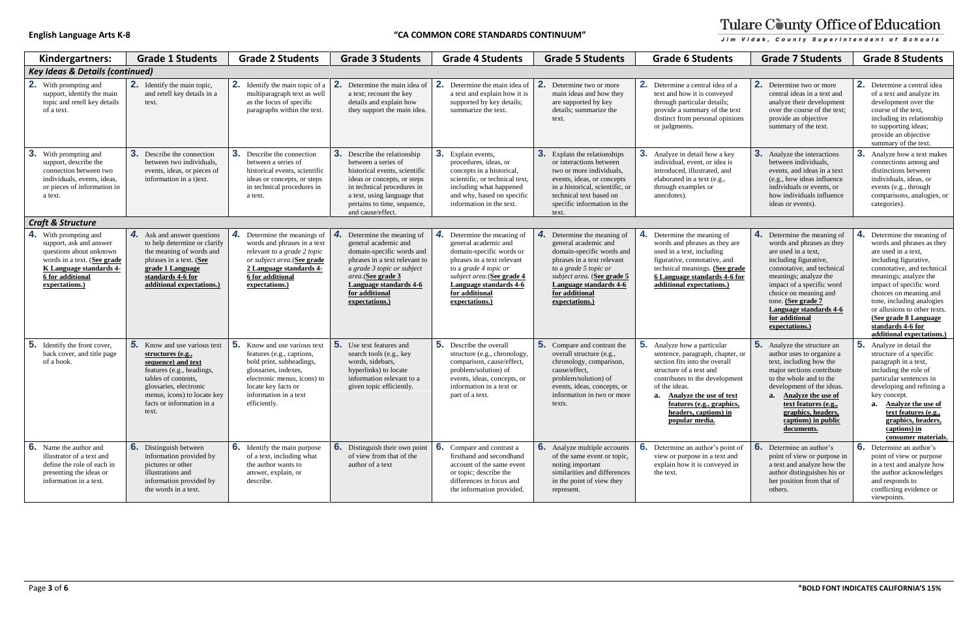| ļ |
|---|
| I |

| Kindergartners:                                                                                                                                                                | <b>Grade 1 Students</b>                                                                                                                                                                                                 | <b>Grade 2 Students</b>                                                                                                                                                                                         | <b>Grade 3 Students</b>                                                                                                                                                                                                                     | <b>Grade 4 Students</b>                                                                                                                                                                                                            | <b>Grade 5 Students</b>                                                                                                                                                                                                                | <b>Grade 6 Students</b>                                                                                                                                                                                                                                                                 | <b>Grade 7 Students</b>                                                                                                                                                                                                                                                                                   | <b>Grade 8 Students</b>                                                                                                                                                                                                                                                                                                                                         |  |
|--------------------------------------------------------------------------------------------------------------------------------------------------------------------------------|-------------------------------------------------------------------------------------------------------------------------------------------------------------------------------------------------------------------------|-----------------------------------------------------------------------------------------------------------------------------------------------------------------------------------------------------------------|---------------------------------------------------------------------------------------------------------------------------------------------------------------------------------------------------------------------------------------------|------------------------------------------------------------------------------------------------------------------------------------------------------------------------------------------------------------------------------------|----------------------------------------------------------------------------------------------------------------------------------------------------------------------------------------------------------------------------------------|-----------------------------------------------------------------------------------------------------------------------------------------------------------------------------------------------------------------------------------------------------------------------------------------|-----------------------------------------------------------------------------------------------------------------------------------------------------------------------------------------------------------------------------------------------------------------------------------------------------------|-----------------------------------------------------------------------------------------------------------------------------------------------------------------------------------------------------------------------------------------------------------------------------------------------------------------------------------------------------------------|--|
| <b>Key Ideas &amp; Details (continued)</b>                                                                                                                                     |                                                                                                                                                                                                                         |                                                                                                                                                                                                                 |                                                                                                                                                                                                                                             |                                                                                                                                                                                                                                    |                                                                                                                                                                                                                                        |                                                                                                                                                                                                                                                                                         |                                                                                                                                                                                                                                                                                                           |                                                                                                                                                                                                                                                                                                                                                                 |  |
| 2.<br>With prompting and<br>support, identify the main<br>topic and retell key details<br>of a text.                                                                           | <b>2.</b> Identify the main topic,<br>and retell key details in a<br>text.                                                                                                                                              | <b>2.</b> Identify the main topic of a<br>multiparagraph text as well<br>as the focus of specific<br>paragraphs within the text.                                                                                | 2.<br>Determine the main idea of<br>a text; recount the key<br>details and explain how<br>they support the main idea.                                                                                                                       | $^{\circ}$ 2.<br>Determine the main idea of<br>a text and explain how it is<br>supported by key details;<br>summarize the text.                                                                                                    | 2.<br>Determine two or more<br>main ideas and how they<br>are supported by key<br>details; summarize the<br>text.                                                                                                                      | $\mathbf{2}$ .<br>Determine a central idea of a<br>text and how it is conveyed<br>through particular details;<br>provide a summary of the text<br>distinct from personal opinions<br>or judgments.                                                                                      | <b>2.</b> Determine two or more<br>central ideas in a text and<br>analyze their development<br>over the course of the text;<br>provide an objective<br>summary of the text.                                                                                                                               | <b>2.</b> Determine a central idea<br>of a text and analyze its<br>development over the<br>course of the text,<br>including its relationship<br>to supporting ideas;<br>provide an objective<br>summary of the text.                                                                                                                                            |  |
| 3.<br>With prompting and<br>support, describe the<br>connection between two<br>individuals, events, ideas,<br>or pieces of information in<br>a text.                           | <b>3.</b> Describe the connection<br>between two individuals.<br>events, ideas, or pieces of<br>information in a t)ext.                                                                                                 | З.<br>Describe the connection<br>between a series of<br>historical events, scientific<br>ideas or concepts, or steps<br>in technical procedures in<br>a text.                                                   | <b>3.</b> Describe the relationship<br>between a series of<br>historical events, scientific<br>ideas or concepts, or steps<br>in technical procedures in<br>a text, using language that<br>pertains to time, sequence,<br>and cause/effect. | 3. Explain events,<br>procedures, ideas, or<br>concepts in a historical,<br>scientific, or technical text,<br>including what happened<br>and why, based on specific<br>information in the text.                                    | Explain the relationships<br>or interactions between<br>two or more individuals.<br>events, ideas, or concepts<br>in a historical, scientific, or<br>technical text based on<br>specific information in the<br>text.                   | 3.<br>Analyze in detail how a key<br>individual, event, or idea is<br>introduced, illustrated, and<br>elaborated in a text (e.g.,<br>through examples or<br>anecdotes).                                                                                                                 | <b>3.</b> Analyze the interactions<br>between individuals,<br>events, and ideas in a text<br>(e.g., how ideas influence<br>individuals or events, or<br>how individuals influence<br>ideas or events).                                                                                                    | 3.<br>Analyze how a text makes<br>connections among and<br>distinctions between<br>individuals, ideas, or<br>events (e.g., through<br>comparisons, analogies, or<br>categories).                                                                                                                                                                                |  |
| <b>Craft &amp; Structure</b>                                                                                                                                                   |                                                                                                                                                                                                                         |                                                                                                                                                                                                                 |                                                                                                                                                                                                                                             |                                                                                                                                                                                                                                    |                                                                                                                                                                                                                                        |                                                                                                                                                                                                                                                                                         |                                                                                                                                                                                                                                                                                                           |                                                                                                                                                                                                                                                                                                                                                                 |  |
| 4.<br>With prompting and<br>support, ask and answer<br>questions about unknown<br>words in a text. (See grade<br>K Language standards 4-<br>6 for additional<br>expectations.) | 4. Ask and answer questions<br>to help determine or clarify<br>the meaning of words and<br>phrases in a text. (See<br>grade 1 Language<br>standards 4-6 for<br>additional expectations.)                                | 4.<br>Determine the meanings of<br>words and phrases in a text<br>relevant to a <i>grade 2 topic</i><br>or subject area. (See grade<br>2 Language standards 4-<br>6 for additional<br>expectations.)            | Determine the meaning of<br>general academic and<br>domain-specific words and<br>phrases in a text relevant to<br>a grade 3 topic or subject<br>area.(See grade 3<br>Language standards 4-6<br>for additional<br>expectations.)             | 4. Determine the meaning of<br>general academic and<br>domain-specific words or<br>phrases in a text relevant<br>to a grade 4 topic or<br>subject area. (See grade 4<br>Language standards 4-6<br>for additional<br>expectations.) | 4.<br>Determine the meaning of<br>general academic and<br>domain-specific words and<br>phrases in a text relevant<br>to a grade 5 topic or<br>subject area. (See grade 5<br>Language standards 4-6<br>for additional<br>expectations.) | Determine the meaning of<br>words and phrases as they are<br>used in a text, including<br>figurative, connotative, and<br>technical meanings. (See grade<br>6 Language standards 4-6 for<br>additional expectations.)                                                                   | 4. Determine the meaning of<br>words and phrases as they<br>are used in a text,<br>including figurative,<br>connotative, and technical<br>meanings; analyze the<br>impact of a specific word<br>choice on meaning and<br>tone. (See grade 7<br>Language standards 4-6<br>for additional<br>expectations.) | Determine the meaning of<br>4.<br>words and phrases as they<br>are used in a text,<br>including figurative,<br>connotative, and technical<br>meanings; analyze the<br>impact of specific word<br>choices on meaning and<br>tone, including analogies<br>or allusions to other texts.<br>(See grade 8 Language<br>standards 4-6 for<br>additional expectations.) |  |
| 5.<br>Identify the front cover,<br>back cover, and title page<br>of a book.                                                                                                    | Know and use various text<br>structures (e.g.,<br>sequence) and text<br>features (e.g., headings,<br>tables of contents,<br>glossaries, electronic<br>menus, icons) to locate key<br>facts or information in a<br>text. | 5.<br>Know and use various text<br>features (e.g., captions,<br>bold print, subheadings,<br>glossaries, indexes,<br>electronic menus, icons) to<br>locate key facts or<br>information in a text<br>efficiently. | 5. Use text features and<br>search tools (e.g., key<br>words, sidebars,<br>hyperlinks) to locate<br>information relevant to a<br>given topic efficiently.                                                                                   | <b>5.</b> Describe the overall<br>structure (e.g., chronology,<br>comparison, cause/effect,<br>problem/solution) of<br>events, ideas, concepts, or<br>information in a text or<br>part of a text.                                  | Compare and contrast the<br>overall structure (e.g.,<br>chronology, comparison,<br>cause/effect.<br>problem/solution) of<br>events, ideas, concepts, or<br>information in two or more<br>texts.                                        | 5.<br>Analyze how a particular<br>sentence, paragraph, chapter, or<br>section fits into the overall<br>structure of a text and<br>contributes to the development<br>of the ideas.<br>a. Analyze the use of text<br>features (e.g., graphics,<br>headers, captions) in<br>popular media. | <b>5.</b> Analyze the structure an<br>author uses to organize a<br>text, including how the<br>major sections contribute<br>to the whole and to the<br>development of the ideas.<br>a. Analyze the use of<br>text features (e.g.,<br>graphics, headers,<br>captions) in public<br>documents.               | 5.<br>Analyze in detail the<br>structure of a specific<br>paragraph in a text,<br>including the role of<br>particular sentences in<br>developing and refining a<br>key concept.<br>a. Analyze the use of<br>text features (e.g.,<br>graphics, headers,<br>$\frac{\text{captions}}{\text{in}}$<br>consumer materials.                                            |  |
| <b>6.</b> Name the author and<br>illustrator of a text and<br>define the role of each in<br>presenting the ideas or<br>information in a text.                                  | <b>6.</b> Distinguish between<br>information provided by<br>pictures or other<br>illustrations and<br>information provided by<br>the words in a text.                                                                   | <b>6.</b> Identify the main purpose<br>of a text, including what<br>the author wants to<br>answer, explain, or<br>describe.                                                                                     | 6. Distinguish their own point<br>of view from that of the<br>author of a text                                                                                                                                                              | <b>6.</b> Compare and contrast a<br>firsthand and secondhand<br>account of the same event<br>or topic; describe the<br>differences in focus and<br>the information provided.                                                       | <b>6.</b> Analyze multiple accounts<br>of the same event or topic,<br>noting important<br>similarities and differences<br>in the point of view they<br>represent.                                                                      | 6.<br>Determine an author's point of<br>view or purpose in a text and<br>explain how it is conveyed in<br>the text.                                                                                                                                                                     | <b>6.</b> Determine an author's<br>point of view or purpose in<br>a text and analyze how the<br>author distinguishes his or<br>her position from that of<br>others.                                                                                                                                       | <b>6.</b> Determine an author's<br>point of view or purpose<br>in a text and analyze how<br>the author acknowledges<br>and responds to<br>conflicting evidence or<br>viewpoints.                                                                                                                                                                                |  |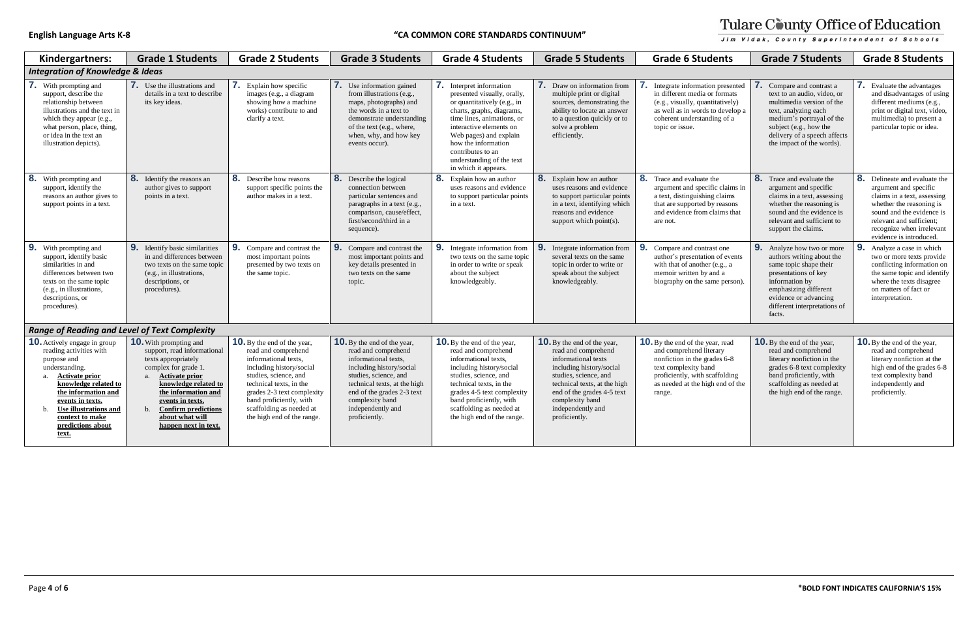| Kindergartners:                                                                                                                                                                                                                                                                                     | <b>Grade 1 Students</b>                                                                                                                                                                                                                                                                | <b>Grade 2 Students</b>                                                                                                                                                                                                                                                              | <b>Grade 3 Students</b>                                                                                                                                                                                                                                       | <b>Grade 4 Students</b>                                                                                                                                                                                                                                                                                 | <b>Grade 5 Students</b>                                                                                                                                                                                                                                      | <b>Grade 6 Students</b>                                                                                                                                                                                    | <b>Grade 7 Students</b>                                                                                                                                                                                                        | <b>Grade 8 Students</b>                                                                                                                                                                                                            |
|-----------------------------------------------------------------------------------------------------------------------------------------------------------------------------------------------------------------------------------------------------------------------------------------------------|----------------------------------------------------------------------------------------------------------------------------------------------------------------------------------------------------------------------------------------------------------------------------------------|--------------------------------------------------------------------------------------------------------------------------------------------------------------------------------------------------------------------------------------------------------------------------------------|---------------------------------------------------------------------------------------------------------------------------------------------------------------------------------------------------------------------------------------------------------------|---------------------------------------------------------------------------------------------------------------------------------------------------------------------------------------------------------------------------------------------------------------------------------------------------------|--------------------------------------------------------------------------------------------------------------------------------------------------------------------------------------------------------------------------------------------------------------|------------------------------------------------------------------------------------------------------------------------------------------------------------------------------------------------------------|--------------------------------------------------------------------------------------------------------------------------------------------------------------------------------------------------------------------------------|------------------------------------------------------------------------------------------------------------------------------------------------------------------------------------------------------------------------------------|
| <b>Integration of Knowledge &amp; Ideas</b>                                                                                                                                                                                                                                                         |                                                                                                                                                                                                                                                                                        |                                                                                                                                                                                                                                                                                      |                                                                                                                                                                                                                                                               |                                                                                                                                                                                                                                                                                                         |                                                                                                                                                                                                                                                              |                                                                                                                                                                                                            |                                                                                                                                                                                                                                |                                                                                                                                                                                                                                    |
| <b>7.</b> With prompting and<br>support, describe the<br>relationship between<br>illustrations and the text in<br>which they appear (e.g.,<br>what person, place, thing,<br>or idea in the text an<br>illustration depicts).                                                                        | <b>7.</b> Use the illustrations and<br>details in a text to describe<br>its key ideas.                                                                                                                                                                                                 | <b>7.</b> Explain how specific<br>images (e.g., a diagram<br>showing how a machine<br>works) contribute to and<br>clarify a text.                                                                                                                                                    | <b>7.</b> Use information gained<br>from illustrations (e.g.,<br>maps, photographs) and<br>the words in a text to<br>demonstrate understanding<br>of the text (e.g., where,<br>when, why, and how key<br>events occur).                                       | 7. Interpret information<br>presented visually, orally,<br>or quantitatively (e.g., in<br>charts, graphs, diagrams,<br>time lines, animations, or<br>interactive elements on<br>Web pages) and explain<br>how the information<br>contributes to an<br>understanding of the text<br>in which it appears. | <b>7.</b> Draw on information from<br>multiple print or digital<br>sources, demonstrating the<br>ability to locate an answer<br>to a question quickly or to<br>solve a problem<br>efficiently.                                                               | Integrate information presented<br>in different media or formats<br>(e.g., visually, quantitatively)<br>as well as in words to develop a<br>coherent understanding of a<br>topic or issue.                 | Compare and contrast a<br>text to an audio, video, or<br>multimedia version of the<br>text, analyzing each<br>medium's portrayal of the<br>subject (e.g., how the<br>delivery of a speech affects<br>the impact of the words). | <b>7.</b> Evaluate the advantages<br>and disadvantages of using<br>different mediums (e.g.,<br>print or digital text, video,<br>multimedia) to present a<br>particular topic or idea.                                              |
| 8.<br>With prompting and<br>support, identify the<br>reasons an author gives to<br>support points in a text.                                                                                                                                                                                        | 8. Identify the reasons an<br>author gives to support<br>points in a text.                                                                                                                                                                                                             | 8. Describe how reasons<br>support specific points the<br>author makes in a text.                                                                                                                                                                                                    | 8. Describe the logical<br>connection between<br>particular sentences and<br>paragraphs in a text (e.g.,<br>comparison, cause/effect,<br>first/second/third in a<br>sequence).                                                                                | 8. Explain how an author<br>uses reasons and evidence<br>to support particular points<br>in a text.                                                                                                                                                                                                     | 8. Explain how an author<br>uses reasons and evidence<br>to support particular points<br>in a text, identifying which<br>reasons and evidence<br>support which point(s).                                                                                     | 8. Trace and evaluate the<br>argument and specific claims in<br>a text, distinguishing claims<br>that are supported by reasons<br>and evidence from claims that<br>are not.                                | <b>8.</b> Trace and evaluate the<br>argument and specific<br>claims in a text, assessing<br>whether the reasoning is<br>sound and the evidence is<br>relevant and sufficient to<br>support the claims.                         | 8. Delineate and evaluate the<br>argument and specific<br>claims in a text, assessing<br>whether the reasoning is<br>sound and the evidence is<br>relevant and sufficient:<br>recognize when irrelevant<br>evidence is introduced. |
| 9 <sub>1</sub><br>With prompting and<br>support, identify basic<br>similarities in and<br>differences between two<br>texts on the same topic<br>(e.g., in illustrations,<br>descriptions, or<br>procedures).                                                                                        | 9. Identify basic similarities<br>in and differences between<br>two texts on the same topic<br>(e.g., in illustrations,<br>descriptions, or<br>procedures).                                                                                                                            | 9. Compare and contrast the<br>most important points<br>presented by two texts on<br>the same topic.                                                                                                                                                                                 | <b>9.</b> Compare and contrast the<br>most important points and<br>key details presented in<br>two texts on the same<br>topic.                                                                                                                                | 9. Integrate information from<br>two texts on the same topic<br>in order to write or speak<br>about the subject<br>knowledgeably.                                                                                                                                                                       | <b>9.</b> Integrate information from<br>several texts on the same<br>topic in order to write or<br>speak about the subject<br>knowledgeably.                                                                                                                 | 9 <sub>1</sub><br>Compare and contrast one<br>author's presentation of events<br>with that of another (e.g., a<br>memoir written by and a<br>biography on the same person).                                | <b>9.</b> Analyze how two or more<br>authors writing about the<br>same topic shape their<br>presentations of key<br>information by<br>emphasizing different<br>evidence or advancing<br>different interpretations of<br>facts. | 9 <sub>1</sub><br>Analyze a case in which<br>two or more texts provide<br>conflicting information on<br>the same topic and identify<br>where the texts disagree<br>on matters of fact or<br>interpretation.                        |
| <b>Range of Reading and Level of Text Complexity</b>                                                                                                                                                                                                                                                |                                                                                                                                                                                                                                                                                        |                                                                                                                                                                                                                                                                                      |                                                                                                                                                                                                                                                               |                                                                                                                                                                                                                                                                                                         |                                                                                                                                                                                                                                                              |                                                                                                                                                                                                            |                                                                                                                                                                                                                                |                                                                                                                                                                                                                                    |
| <b>10.</b> Actively engage in group<br>reading activities with<br>purpose and<br>understanding.<br><b>Activate prior</b><br>$\mathbf{a}$<br>knowledge related to<br>the information and<br>events in texts.<br><b>Use illustrations and</b><br>context to make<br>predictions about<br><u>text.</u> | <b>10.</b> With prompting and<br>support, read informational<br>texts appropriately<br>complex for grade 1<br>a. Activate prior<br>knowledge related to<br>the information and<br>events in texts.<br><b>Confirm predictions</b><br>$h_{-}$<br>about what will<br>happen next in text. | <b>10.</b> By the end of the year,<br>read and comprehend<br>informational texts.<br>including history/social<br>studies, science, and<br>technical texts, in the<br>grades 2-3 text complexity<br>band proficiently, with<br>scaffolding as needed at<br>the high end of the range. | <b>10.</b> By the end of the year,<br>read and comprehend<br>informational texts,<br>including history/social<br>studies, science, and<br>technical texts, at the high<br>end of the grades 2-3 text<br>complexity band<br>independently and<br>proficiently. | <b>10.</b> By the end of the year,<br>read and comprehend<br>informational texts.<br>including history/social<br>studies, science, and<br>technical texts, in the<br>grades 4-5 text complexity<br>band proficiently, with<br>scaffolding as needed at<br>the high end of the range.                    | <b>10.</b> By the end of the year,<br>read and comprehend<br>informational texts<br>including history/social<br>studies, science, and<br>technical texts, at the high<br>end of the grades 4-5 text<br>complexity band<br>independently and<br>proficiently. | <b>10.</b> By the end of the year, read<br>and comprehend literary<br>nonfiction in the grades 6-8<br>text complexity band<br>proficiently, with scaffolding<br>as needed at the high end of the<br>range. | <b>10.</b> By the end of the year,<br>read and comprehend<br>literary nonfiction in the<br>grades 6-8 text complexity<br>band proficiently, with<br>scaffolding as needed at<br>the high end of the range.                     | <b>10.</b> By the end of the year,<br>read and comprehend<br>literary nonfiction at the<br>high end of the grades 6-8<br>text complexity band<br>independently and<br>proficiently.                                                |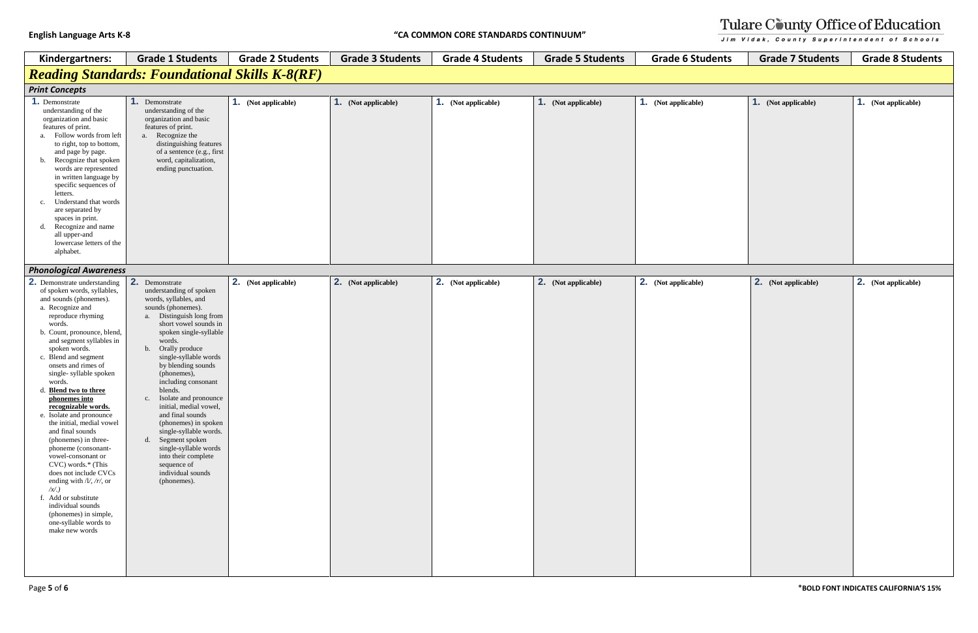| Kindergartners:                                                                                                                                                                                                                                                                                                                                                                                                                                                                                                                                                                                                                                                                                                                          | <b>Grade 1 Students</b>                                                                                                                                                                                                                                                                                                                                                                                                                                                                                                                                          | <b>Grade 2 Students</b>    | <b>Grade 3 Students</b> | <b>Grade 4 Students</b> | <b>Grade 5 Students</b>    | <b>Grade 6 Students</b>    | <b>Grade 7 Students</b>    | <b>Grade 8 Students</b>    |
|------------------------------------------------------------------------------------------------------------------------------------------------------------------------------------------------------------------------------------------------------------------------------------------------------------------------------------------------------------------------------------------------------------------------------------------------------------------------------------------------------------------------------------------------------------------------------------------------------------------------------------------------------------------------------------------------------------------------------------------|------------------------------------------------------------------------------------------------------------------------------------------------------------------------------------------------------------------------------------------------------------------------------------------------------------------------------------------------------------------------------------------------------------------------------------------------------------------------------------------------------------------------------------------------------------------|----------------------------|-------------------------|-------------------------|----------------------------|----------------------------|----------------------------|----------------------------|
|                                                                                                                                                                                                                                                                                                                                                                                                                                                                                                                                                                                                                                                                                                                                          | <b>Reading Standards: Foundational Skills K-8(RF)</b>                                                                                                                                                                                                                                                                                                                                                                                                                                                                                                            |                            |                         |                         |                            |                            |                            |                            |
| <b>Print Concepts</b>                                                                                                                                                                                                                                                                                                                                                                                                                                                                                                                                                                                                                                                                                                                    |                                                                                                                                                                                                                                                                                                                                                                                                                                                                                                                                                                  |                            |                         |                         |                            |                            |                            |                            |
| 1. Demonstrate<br>understanding of the<br>organization and basic<br>features of print.<br>a. Follow words from left<br>to right, top to bottom,<br>and page by page.<br>Recognize that spoken<br>b.<br>words are represented<br>in written language by<br>specific sequences of<br>letters.<br>Understand that words<br>c.<br>are separated by<br>spaces in print.<br>Recognize and name<br>d.<br>all upper-and<br>lowercase letters of the<br>alphabet.                                                                                                                                                                                                                                                                                 | 1. Demonstrate<br>understanding of the<br>organization and basic<br>features of print.<br>a. Recognize the<br>distinguishing features<br>of a sentence (e.g., first<br>word, capitalization,<br>ending punctuation.                                                                                                                                                                                                                                                                                                                                              | <b>1.</b> (Not applicable) | 1. (Not applicable)     | 1. (Not applicable)     | <b>1.</b> (Not applicable) | 1. (Not applicable)        | 1. (Not applicable)        | <b>1.</b> (Not applicable) |
| <b>Phonological Awareness</b>                                                                                                                                                                                                                                                                                                                                                                                                                                                                                                                                                                                                                                                                                                            |                                                                                                                                                                                                                                                                                                                                                                                                                                                                                                                                                                  |                            |                         |                         |                            |                            |                            |                            |
| <b>2.</b> Demonstrate understanding<br>of spoken words, syllables,<br>and sounds (phonemes).<br>a. Recognize and<br>reproduce rhyming<br>words.<br>b. Count, pronounce, blend,<br>and segment syllables in<br>spoken words.<br>c. Blend and segment<br>onsets and rimes of<br>single-syllable spoken<br>words.<br>Blend two to three<br>phonemes into<br>recognizable words.<br>e. Isolate and pronounce<br>the initial, medial vowel<br>and final sounds<br>(phonemes) in three-<br>phoneme (consonant-<br>vowel-consonant or<br>CVC) words.* (This<br>does not include CVCs<br>ending with $/V$ , /r/, or<br>$\chi$ .<br>f. Add or substitute<br>individual sounds<br>(phonemes) in simple,<br>one-syllable words to<br>make new words | 2.<br>Demonstrate<br>understanding of spoken<br>words, syllables, and<br>sounds (phonemes).<br>Distinguish long from<br>a.<br>short vowel sounds in<br>spoken single-syllable<br>words.<br>b. Orally produce<br>single-syllable words<br>by blending sounds<br>(phonemes),<br>including consonant<br>blends.<br>c. Isolate and pronounce<br>initial, medial vowel,<br>and final sounds<br>(phonemes) in spoken<br>single-syllable words.<br>d. Segment spoken<br>single-syllable words<br>into their complete<br>sequence of<br>individual sounds<br>(phonemes). | <b>2.</b> (Not applicable) | 2. (Not applicable)     | 2. (Not applicable)     | 2. (Not applicable)        | <b>2.</b> (Not applicable) | <b>2.</b> (Not applicable) | 2. (Not applicable)        |

# Tulare County Office of Education Jim Vidak, County Superintendent of Schools

1. (Not applicable) 1. (Not applicable) 2. (Not applicable) 2. (Not applicable)